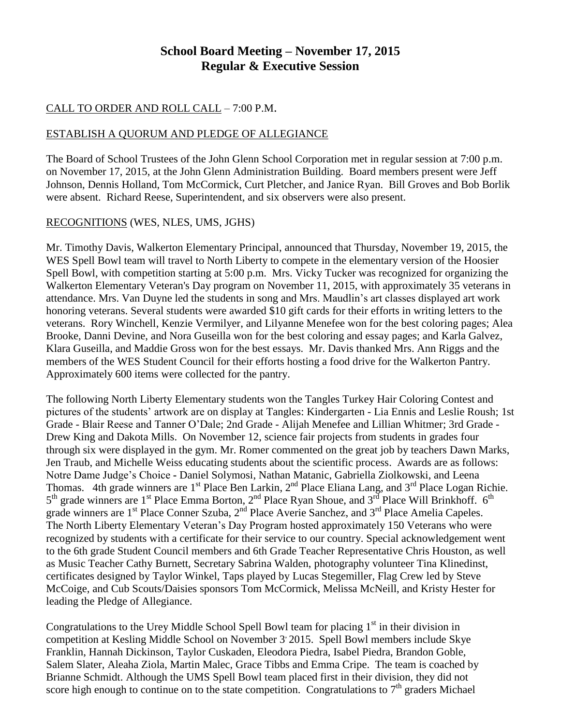# **School Board Meeting – November 17, 2015 Regular & Executive Session**

## CALL TO ORDER AND ROLL CALL – 7:00 P.M.

#### ESTABLISH A QUORUM AND PLEDGE OF ALLEGIANCE

The Board of School Trustees of the John Glenn School Corporation met in regular session at 7:00 p.m. on November 17, 2015, at the John Glenn Administration Building. Board members present were Jeff Johnson, Dennis Holland, Tom McCormick, Curt Pletcher, and Janice Ryan. Bill Groves and Bob Borlik were absent. Richard Reese, Superintendent, and six observers were also present.

#### RECOGNITIONS (WES, NLES, UMS, JGHS)

Mr. Timothy Davis, Walkerton Elementary Principal, announced that Thursday, November 19, 2015, the WES Spell Bowl team will travel to North Liberty to compete in the elementary version of the Hoosier Spell Bowl, with competition starting at 5:00 p.m. Mrs. Vicky Tucker was recognized for organizing the Walkerton Elementary Veteran's Day program on November 11, 2015, with approximately 35 veterans in attendance. Mrs. Van Duyne led the students in song and Mrs. Maudlin's art classes displayed art work honoring veterans. Several students were awarded \$10 gift cards for their efforts in writing letters to the veterans. Rory Winchell, Kenzie Vermilyer, and Lilyanne Menefee won for the best coloring pages; Alea Brooke, Danni Devine, and Nora Guseilla won for the best coloring and essay pages; and Karla Galvez, Klara Guseilla, and Maddie Gross won for the best essays. Mr. Davis thanked Mrs. Ann Riggs and the members of the WES Student Council for their efforts hosting a food drive for the Walkerton Pantry. Approximately 600 items were collected for the pantry.

The following North Liberty Elementary students won the Tangles Turkey Hair Coloring Contest and pictures of the students' artwork are on display at Tangles: Kindergarten - Lia Ennis and Leslie Roush; 1st Grade - Blair Reese and Tanner O'Dale; 2nd Grade - Alijah Menefee and Lillian Whitmer; 3rd Grade - Drew King and Dakota Mills. On November 12, science fair projects from students in grades four through six were displayed in the gym. Mr. Romer commented on the great job by teachers Dawn Marks, Jen Traub, and Michelle Weiss educating students about the scientific process. Awards are as follows: Notre Dame Judge's Choice **-** Daniel Solymosi, Nathan Matanic, Gabriella Ziolkowski, and Leena Thomas. 4th grade winners are  $1^{st}$  Place Ben Larkin,  $2^{nd}$  Place Eliana Lang, and  $3^{rd}$  Place Logan Richie.  $5<sup>th</sup>$  grade winners are 1<sup>st</sup> Place Emma Borton, 2<sup>nd</sup> Place Ryan Shoue, and 3<sup>rd</sup> Place Will Brinkhoff. 6<sup>th</sup> grade winners are 1<sup>st</sup> Place Conner Szuba, 2<sup>nd</sup> Place Averie Sanchez, and 3<sup>rd</sup> Place Amelia Capeles. The North Liberty Elementary Veteran's Day Program hosted approximately 150 Veterans who were recognized by students with a certificate for their service to our country. Special acknowledgement went to the 6th grade Student Council members and 6th Grade Teacher Representative Chris Houston, as well as Music Teacher Cathy Burnett, Secretary Sabrina Walden, photography volunteer Tina Klinedinst, certificates designed by Taylor Winkel, Taps played by Lucas Stegemiller, Flag Crew led by Steve McCoige, and Cub Scouts/Daisies sponsors Tom McCormick, Melissa McNeill, and Kristy Hester for leading the Pledge of Allegiance.

Congratulations to the Urey Middle School Spell Bowl team for placing  $1<sup>st</sup>$  in their division in competition at Kesling Middle School on November 3' 2015. Spell Bowl members include Skye Franklin, Hannah Dickinson, Taylor Cuskaden, Eleodora Piedra, Isabel Piedra, Brandon Goble, Salem Slater, Aleaha Ziola, Martin Malec, Grace Tibbs and Emma Cripe. The team is coached by Brianne Schmidt. Although the UMS Spell Bowl team placed first in their division, they did not score high enough to continue on to the state competition. Congratulations to  $7<sup>th</sup>$  graders Michael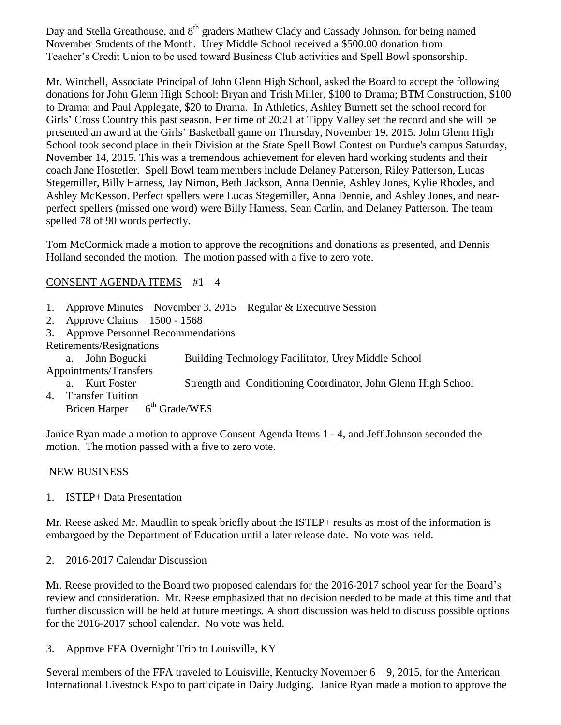Day and Stella Greathouse, and 8<sup>th</sup> graders Mathew Clady and Cassady Johnson, for being named November Students of the Month. Urey Middle School received a \$500.00 donation from Teacher's Credit Union to be used toward Business Club activities and Spell Bowl sponsorship.

Mr. Winchell, Associate Principal of John Glenn High School, asked the Board to accept the following donations for John Glenn High School: Bryan and Trish Miller, \$100 to Drama; BTM Construction, \$100 to Drama; and Paul Applegate, \$20 to Drama. In Athletics, Ashley Burnett set the school record for Girls' Cross Country this past season. Her time of 20:21 at Tippy Valley set the record and she will be presented an award at the Girls' Basketball game on Thursday, November 19, 2015. John Glenn High School took second place in their Division at the State Spell Bowl Contest on Purdue's campus Saturday, November 14, 2015. This was a tremendous achievement for eleven hard working students and their coach Jane Hostetler. Spell Bowl team members include Delaney Patterson, Riley Patterson, Lucas Stegemiller, Billy Harness, Jay Nimon, Beth Jackson, Anna Dennie, Ashley Jones, Kylie Rhodes, and Ashley McKesson. Perfect spellers were Lucas Stegemiller, Anna Dennie, and Ashley Jones, and nearperfect spellers (missed one word) were Billy Harness, Sean Carlin, and Delaney Patterson. The team spelled 78 of 90 words perfectly.

Tom McCormick made a motion to approve the recognitions and donations as presented, and Dennis Holland seconded the motion. The motion passed with a five to zero vote.

### CONSENT AGENDA ITEMS  $#1-4$

- 1. Approve Minutes November 3, 2015 Regular & Executive Session
- 2. Approve Claims 1500 1568
- 3. Approve Personnel Recommendations
- Retirements/Resignations

a. John Bogucki Building Technology Facilitator, Urey Middle School

Appointments/Transfers

- a. Kurt Foster Strength and Conditioning Coordinator, John Glenn High School
- 4. Transfer Tuition

Bricen Harper  $6<sup>th</sup>$  Grade/WES

Janice Ryan made a motion to approve Consent Agenda Items 1 - 4, and Jeff Johnson seconded the motion. The motion passed with a five to zero vote.

#### NEW BUSINESS

#### 1. ISTEP+ Data Presentation

Mr. Reese asked Mr. Maudlin to speak briefly about the ISTEP+ results as most of the information is embargoed by the Department of Education until a later release date. No vote was held.

2. 2016-2017 Calendar Discussion

Mr. Reese provided to the Board two proposed calendars for the 2016-2017 school year for the Board's review and consideration. Mr. Reese emphasized that no decision needed to be made at this time and that further discussion will be held at future meetings. A short discussion was held to discuss possible options for the 2016-2017 school calendar. No vote was held.

3. Approve FFA Overnight Trip to Louisville, KY

Several members of the FFA traveled to Louisville, Kentucky November  $6 - 9$ , 2015, for the American International Livestock Expo to participate in Dairy Judging. Janice Ryan made a motion to approve the